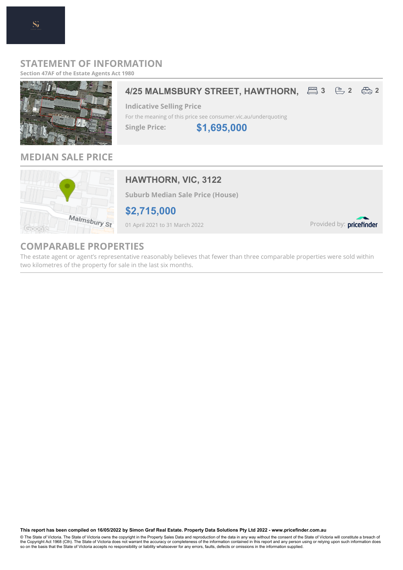### **STATEMENT OF INFORMATION**

**Section 47AF of the Estate Agents Act 1980**

## **4/25 MALMSBURY STREET, HAWTHORN, 2 3 2 3 2**  $\frac{2}{\sqrt{2}}$  **2 \$1,695,000 Indicative Selling Price** For the meaning of this price see consumer.vic.au/underquoting **Single Price:**

## **MEDIAN SALE PRICE**



### **HAWTHORN, VIC, 3122**

**Suburb Median Sale Price (House)**

**\$2,715,000**

01 April 2021 to 31 March 2022

Provided by: pricefinder

## **COMPARABLE PROPERTIES**

The estate agent or agent's representative reasonably believes that fewer than three comparable properties were sold within two kilometres of the property for sale in the last six months.

**This report has been compiled on 16/05/2022 by Simon Graf Real Estate. Property Data Solutions Pty Ltd 2022 - www.pricefinder.com.au**

© The State of Victoria. The State of Victoria owns the copyright in the Property Sales Data and reproduction of the data in any way without the consent of the State of Victoria will constitute a breach of<br>the Copyright Ac so on the basis that the State of Victoria accepts no responsibility or liability whatsoever for any errors, faults, defects or omissions in the information supplied.